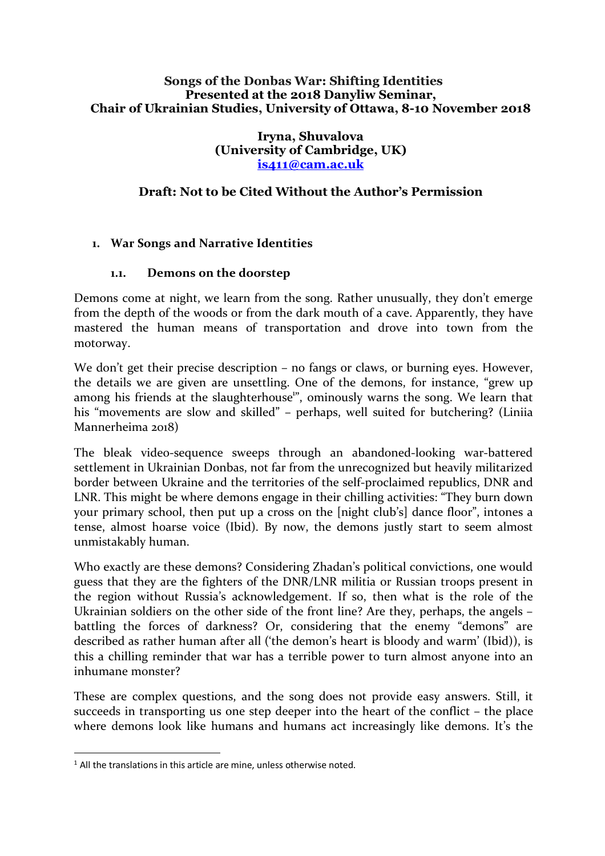#### **Songs of the Donbas War: Shifting Identities Presented at the 2018 Danyliw Seminar, Chair of Ukrainian Studies, University of Ottawa, 8-10 November 2018**

**Iryna, Shuvalova (University of Cambridge, UK) is411@cam.ac.uk**

# **Draft: Not to be Cited Without the Author's Permission**

### **1. War Songs and Narrative Identities**

#### **1.1. Demons on the doorstep**

Demons come at night, we learn from the song. Rather unusually, they don't emerge from the depth of the woods or from the dark mouth of a cave. Apparently, they have mastered the human means of transportation and drove into town from the motorway.

We don't get their precise description – no fangs or claws, or burning eyes. However, the details we are given are unsettling. One of the demons, for instance, "grew up among his friends at the slaughterhouse<sup>1</sup>", ominously warns the song. We learn that his "movements are slow and skilled" – perhaps, well suited for butchering? (Liniia Mannerheima 2018)

The bleak video-sequence sweeps through an abandoned-looking war-battered settlement in Ukrainian Donbas, not far from the unrecognized but heavily militarized border between Ukraine and the territories of the self-proclaimed republics, DNR and LNR. This might be where demons engage in their chilling activities: "They burn down your primary school, then put up a cross on the [night club's] dance floor", intones a tense, almost hoarse voice (Ibid). By now, the demons justly start to seem almost unmistakably human.

Who exactly are these demons? Considering Zhadan's political convictions, one would guess that they are the fighters of the DNR/LNR militia or Russian troops present in the region without Russia's acknowledgement. If so, then what is the role of the Ukrainian soldiers on the other side of the front line? Are they, perhaps, the angels – battling the forces of darkness? Or, considering that the enemy "demons" are described as rather human after all ('the demon's heart is bloody and warm' (Ibid)), is this a chilling reminder that war has a terrible power to turn almost anyone into an inhumane monster?

These are complex questions, and the song does not provide easy answers. Still, it succeeds in transporting us one step deeper into the heart of the conflict – the place where demons look like humans and humans act increasingly like demons. It's the

 $1$  All the translations in this article are mine, unless otherwise noted.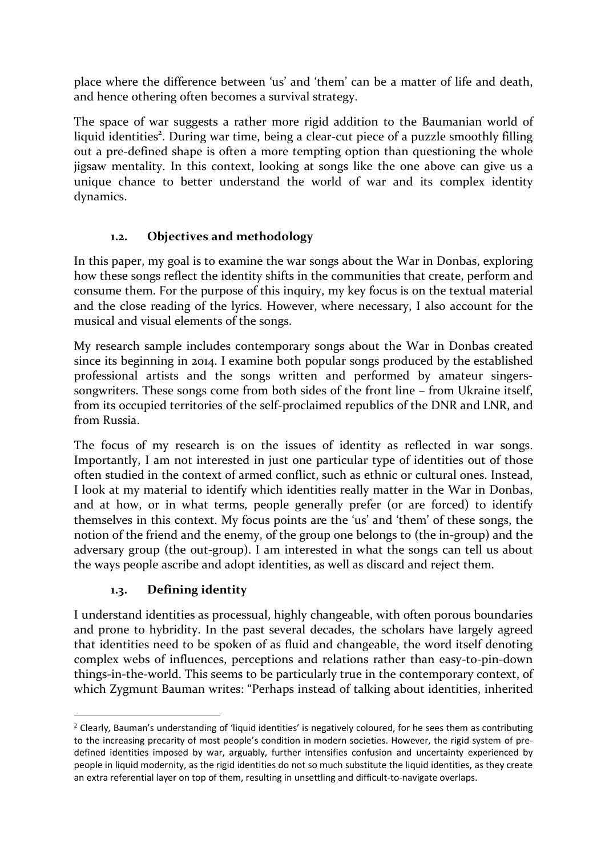place where the difference between 'us' and 'them' can be a matter of life and death, and hence othering often becomes a survival strategy.

The space of war suggests a rather more rigid addition to the Baumanian world of liquid identities<sup>2</sup>. During war time, being a clear-cut piece of a puzzle smoothly filling out a pre-defined shape is often a more tempting option than questioning the whole jigsaw mentality. In this context, looking at songs like the one above can give us a unique chance to better understand the world of war and its complex identity dynamics.

# **1.2. Objectives and methodology**

In this paper, my goal is to examine the war songs about the War in Donbas, exploring how these songs reflect the identity shifts in the communities that create, perform and consume them. For the purpose of this inquiry, my key focus is on the textual material and the close reading of the lyrics. However, where necessary, I also account for the musical and visual elements of the songs.

My research sample includes contemporary songs about the War in Donbas created since its beginning in 2014. I examine both popular songs produced by the established professional artists and the songs written and performed by amateur singerssongwriters. These songs come from both sides of the front line – from Ukraine itself, from its occupied territories of the self-proclaimed republics of the DNR and LNR, and from Russia.

The focus of my research is on the issues of identity as reflected in war songs. Importantly, I am not interested in just one particular type of identities out of those often studied in the context of armed conflict, such as ethnic or cultural ones. Instead, I look at my material to identify which identities really matter in the War in Donbas, and at how, or in what terms, people generally prefer (or are forced) to identify themselves in this context. My focus points are the 'us' and 'them' of these songs, the notion of the friend and the enemy, of the group one belongs to (the in-group) and the adversary group (the out-group). I am interested in what the songs can tell us about the ways people ascribe and adopt identities, as well as discard and reject them.

# **1.3. Defining identity**

I understand identities as processual, highly changeable, with often porous boundaries and prone to hybridity. In the past several decades, the scholars have largely agreed that identities need to be spoken of as fluid and changeable, the word itself denoting complex webs of influences, perceptions and relations rather than easy-to-pin-down things-in-the-world. This seems to be particularly true in the contemporary context, of which Zygmunt Bauman writes: "Perhaps instead of talking about identities, inherited

 $<sup>2</sup>$  Clearly, Bauman's understanding of 'liquid identities' is negatively coloured, for he sees them as contributing</sup> to the increasing precarity of most people's condition in modern societies. However, the rigid system of predefined identities imposed by war, arguably, further intensifies confusion and uncertainty experienced by people in liquid modernity, as the rigid identities do not so much substitute the liquid identities, as they create an extra referential layer on top of them, resulting in unsettling and difficult-to-navigate overlaps.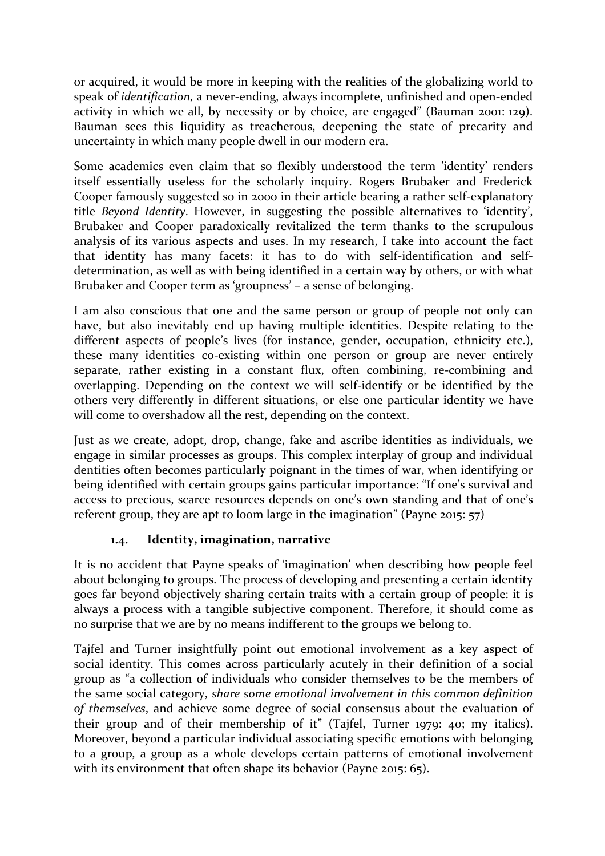or acquired, it would be more in keeping with the realities of the globalizing world to speak of *identification,* a never-ending, always incomplete, unfinished and open-ended activity in which we all, by necessity or by choice, are engaged" (Bauman 2001: 129). Bauman sees this liquidity as treacherous, deepening the state of precarity and uncertainty in which many people dwell in our modern era.

Some academics even claim that so flexibly understood the term 'identity' renders itself essentially useless for the scholarly inquiry. Rogers Brubaker and Frederick Cooper famously suggested so in 2000 in their article bearing a rather self-explanatory title *Beyond Identity*. However, in suggesting the possible alternatives to 'identity', Brubaker and Cooper paradoxically revitalized the term thanks to the scrupulous analysis of its various aspects and uses. In my research, I take into account the fact that identity has many facets: it has to do with self-identification and selfdetermination, as well as with being identified in a certain way by others, or with what Brubaker and Cooper term as 'groupness' – a sense of belonging.

I am also conscious that one and the same person or group of people not only can have, but also inevitably end up having multiple identities. Despite relating to the different aspects of people's lives (for instance, gender, occupation, ethnicity etc.), these many identities co-existing within one person or group are never entirely separate, rather existing in a constant flux, often combining, re-combining and overlapping. Depending on the context we will self-identify or be identified by the others very differently in different situations, or else one particular identity we have will come to overshadow all the rest, depending on the context.

Just as we create, adopt, drop, change, fake and ascribe identities as individuals, we engage in similar processes as groups. This complex interplay of group and individual dentities often becomes particularly poignant in the times of war, when identifying or being identified with certain groups gains particular importance: "If one's survival and access to precious, scarce resources depends on one's own standing and that of one's referent group, they are apt to loom large in the imagination" (Payne 2015: 57)

# **1.4. Identity, imagination, narrative**

It is no accident that Payne speaks of 'imagination' when describing how people feel about belonging to groups. The process of developing and presenting a certain identity goes far beyond objectively sharing certain traits with a certain group of people: it is always a process with a tangible subjective component. Therefore, it should come as no surprise that we are by no means indifferent to the groups we belong to.

Tajfel and Turner insightfully point out emotional involvement as a key aspect of social identity. This comes across particularly acutely in their definition of a social group as "a collection of individuals who consider themselves to be the members of the same social category, *share some emotional involvement in this common definition of themselves*, and achieve some degree of social consensus about the evaluation of their group and of their membership of it" (Tajfel, Turner 1979: 40; my italics). Moreover, beyond a particular individual associating specific emotions with belonging to a group, a group as a whole develops certain patterns of emotional involvement with its environment that often shape its behavior (Payne 2015: 65).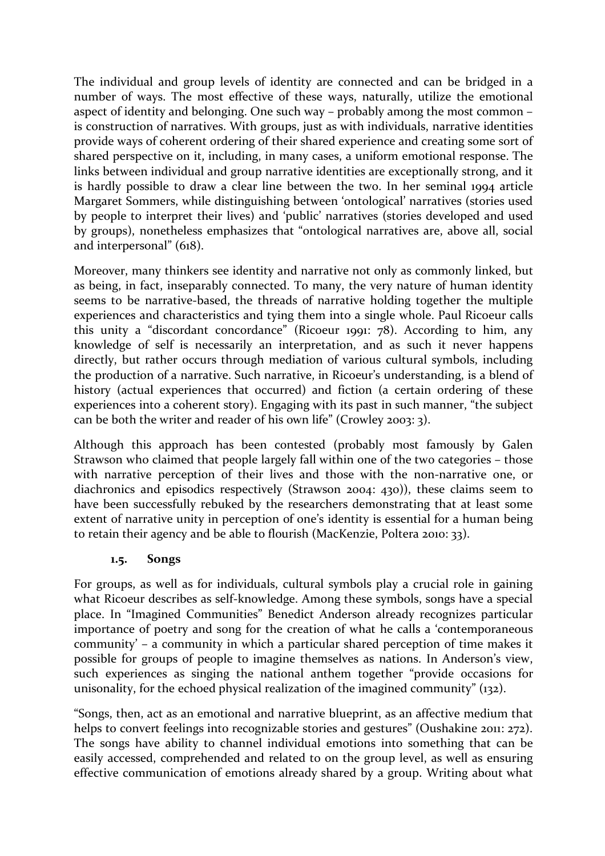The individual and group levels of identity are connected and can be bridged in a number of ways. The most effective of these ways, naturally, utilize the emotional aspect of identity and belonging. One such way – probably among the most common – is construction of narratives. With groups, just as with individuals, narrative identities provide ways of coherent ordering of their shared experience and creating some sort of shared perspective on it, including, in many cases, a uniform emotional response. The links between individual and group narrative identities are exceptionally strong, and it is hardly possible to draw a clear line between the two. In her seminal 1994 article Margaret Sommers, while distinguishing between 'ontological' narratives (stories used by people to interpret their lives) and 'public' narratives (stories developed and used by groups), nonetheless emphasizes that "ontological narratives are, above all, social and interpersonal" (618).

Moreover, many thinkers see identity and narrative not only as commonly linked, but as being, in fact, inseparably connected. To many, the very nature of human identity seems to be narrative-based, the threads of narrative holding together the multiple experiences and characteristics and tying them into a single whole. Paul Ricoeur calls this unity a "discordant concordance" (Ricoeur 1991: 78). According to him, any knowledge of self is necessarily an interpretation, and as such it never happens directly, but rather occurs through mediation of various cultural symbols, including the production of a narrative. Such narrative, in Ricoeur's understanding, is a blend of history (actual experiences that occurred) and fiction (a certain ordering of these experiences into a coherent story). Engaging with its past in such manner, "the subject can be both the writer and reader of his own life" (Crowley 2003: 3).

Although this approach has been contested (probably most famously by Galen Strawson who claimed that people largely fall within one of the two categories – those with narrative perception of their lives and those with the non-narrative one, or diachronics and episodics respectively (Strawson 2004: 430)), these claims seem to have been successfully rebuked by the researchers demonstrating that at least some extent of narrative unity in perception of one's identity is essential for a human being to retain their agency and be able to flourish (MacKenzie, Poltera 2010: 33).

#### **1.5. Songs**

For groups, as well as for individuals, cultural symbols play a crucial role in gaining what Ricoeur describes as self-knowledge. Among these symbols, songs have a special place. In "Imagined Communities" Benedict Anderson already recognizes particular importance of poetry and song for the creation of what he calls a 'contemporaneous community' – a community in which a particular shared perception of time makes it possible for groups of people to imagine themselves as nations. In Anderson's view, such experiences as singing the national anthem together "provide occasions for unisonality, for the echoed physical realization of the imagined community" (132).

"Songs, then, act as an emotional and narrative blueprint, as an affective medium that helps to convert feelings into recognizable stories and gestures" (Oushakine 2011: 272). The songs have ability to channel individual emotions into something that can be easily accessed, comprehended and related to on the group level, as well as ensuring effective communication of emotions already shared by a group. Writing about what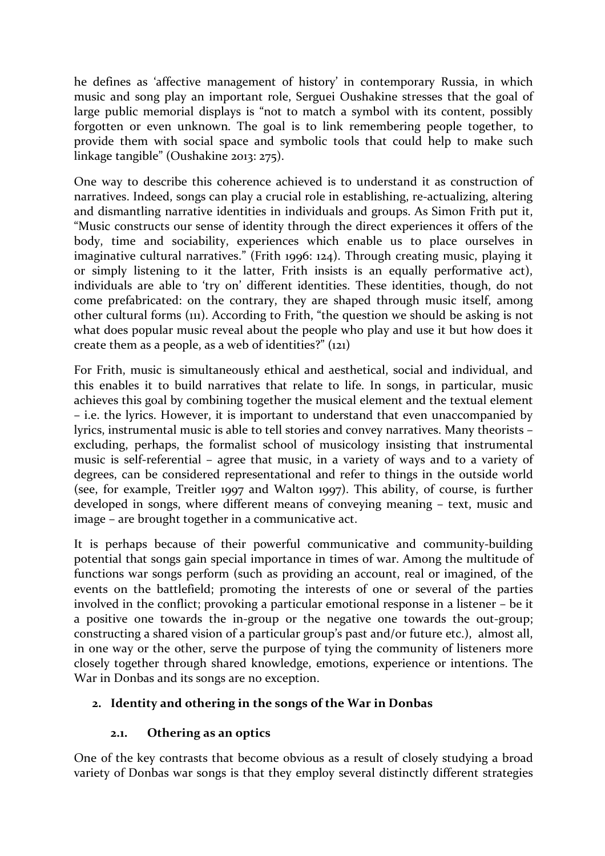he defines as 'affective management of history' in contemporary Russia, in which music and song play an important role, Serguei Oushakine stresses that the goal of large public memorial displays is "not to match a symbol with its content, possibly forgotten or even unknown. The goal is to link remembering people together, to provide them with social space and symbolic tools that could help to make such linkage tangible" (Oushakine 2013: 275).

One way to describe this coherence achieved is to understand it as construction of narratives. Indeed, songs can play a crucial role in establishing, re-actualizing, altering and dismantling narrative identities in individuals and groups. As Simon Frith put it, "Music constructs our sense of identity through the direct experiences it offers of the body, time and sociability, experiences which enable us to place ourselves in imaginative cultural narratives." (Frith 1996: 124). Through creating music, playing it or simply listening to it the latter, Frith insists is an equally performative act), individuals are able to 'try on' different identities. These identities, though, do not come prefabricated: on the contrary, they are shaped through music itself, among other cultural forms (111). According to Frith, "the question we should be asking is not what does popular music reveal about the people who play and use it but how does it create them as a people, as a web of identities?" (121)

For Frith, music is simultaneously ethical and aesthetical, social and individual, and this enables it to build narratives that relate to life. In songs, in particular, music achieves this goal by combining together the musical element and the textual element – i.e. the lyrics. However, it is important to understand that even unaccompanied by lyrics, instrumental music is able to tell stories and convey narratives. Many theorists – excluding, perhaps, the formalist school of musicology insisting that instrumental music is self-referential – agree that music, in a variety of ways and to a variety of degrees, can be considered representational and refer to things in the outside world (see, for example, Treitler 1997 and Walton 1997). This ability, of course, is further developed in songs, where different means of conveying meaning – text, music and image – are brought together in a communicative act.

It is perhaps because of their powerful communicative and community-building potential that songs gain special importance in times of war. Among the multitude of functions war songs perform (such as providing an account, real or imagined, of the events on the battlefield; promoting the interests of one or several of the parties involved in the conflict; provoking a particular emotional response in a listener – be it a positive one towards the in-group or the negative one towards the out-group; constructing a shared vision of a particular group's past and/or future etc.), almost all, in one way or the other, serve the purpose of tying the community of listeners more closely together through shared knowledge, emotions, experience or intentions. The War in Donbas and its songs are no exception.

# **2. Identity and othering in the songs of the War in Donbas**

# **2.1. Othering as an optics**

One of the key contrasts that become obvious as a result of closely studying a broad variety of Donbas war songs is that they employ several distinctly different strategies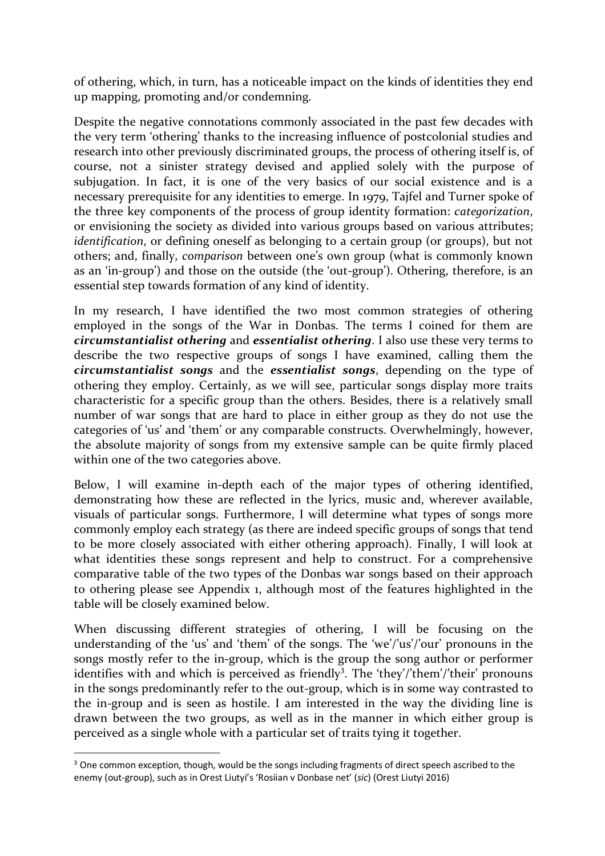of othering, which, in turn, has a noticeable impact on the kinds of identities they end up mapping, promoting and/or condemning.

Despite the negative connotations commonly associated in the past few decades with the very term 'othering' thanks to the increasing influence of postcolonial studies and research into other previously discriminated groups, the process of othering itself is, of course, not a sinister strategy devised and applied solely with the purpose of subjugation. In fact, it is one of the very basics of our social existence and is a necessary prerequisite for any identities to emerge. In 1979, Tajfel and Turner spoke of the three key components of the process of group identity formation: *categorization*, or envisioning the society as divided into various groups based on various attributes; *identification*, or defining oneself as belonging to a certain group (or groups), but not others; and, finally, *comparison* between one's own group (what is commonly known as an 'in-group') and those on the outside (the 'out-group'). Othering, therefore, is an essential step towards formation of any kind of identity.

In my research, I have identified the two most common strategies of othering employed in the songs of the War in Donbas. The terms I coined for them are *circumstantialist othering* and *essentialist othering*. I also use these very terms to describe the two respective groups of songs I have examined, calling them the *circumstantialist songs* and the *essentialist songs*, depending on the type of othering they employ. Certainly, as we will see, particular songs display more traits characteristic for a specific group than the others. Besides, there is a relatively small number of war songs that are hard to place in either group as they do not use the categories of 'us' and 'them' or any comparable constructs. Overwhelmingly, however, the absolute majority of songs from my extensive sample can be quite firmly placed within one of the two categories above.

Below, I will examine in-depth each of the major types of othering identified, demonstrating how these are reflected in the lyrics, music and, wherever available, visuals of particular songs. Furthermore, I will determine what types of songs more commonly employ each strategy (as there are indeed specific groups of songs that tend to be more closely associated with either othering approach). Finally, I will look at what identities these songs represent and help to construct. For a comprehensive comparative table of the two types of the Donbas war songs based on their approach to othering please see Appendix 1, although most of the features highlighted in the table will be closely examined below.

When discussing different strategies of othering, I will be focusing on the understanding of the 'us' and 'them' of the songs. The 'we'/'us'/'our' pronouns in the songs mostly refer to the in-group, which is the group the song author or performer identifies with and which is perceived as friendly<sup>3</sup>. The 'they'/'them'/'their' pronouns in the songs predominantly refer to the out-group, which is in some way contrasted to the in-group and is seen as hostile. I am interested in the way the dividing line is drawn between the two groups, as well as in the manner in which either group is perceived as a single whole with a particular set of traits tying it together.

 $3$  One common exception, though, would be the songs including fragments of direct speech ascribed to the enemy (out-group), such as in Orest Liutyi's 'Rosiian v Donbase net' (*sic*) (Orest Liutyi 2016)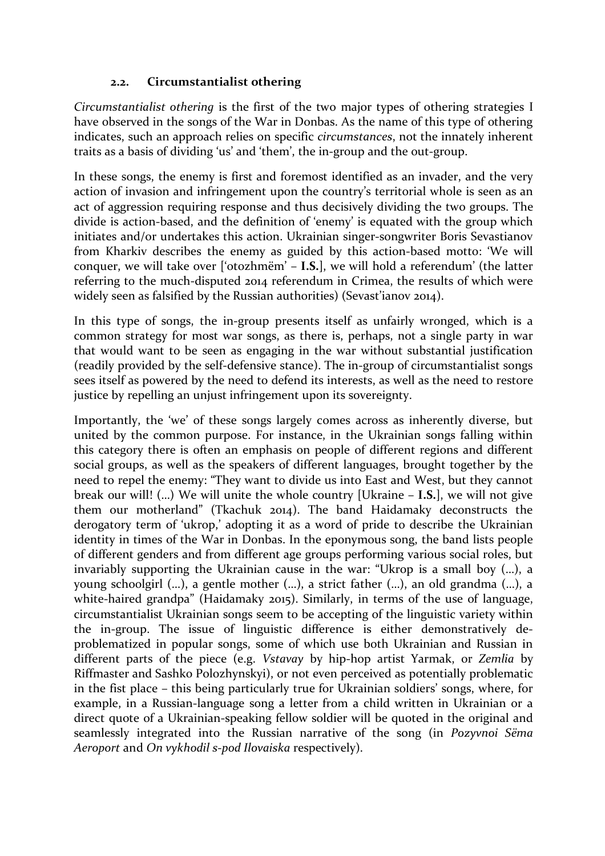### **2.2. Circumstantialist othering**

*Circumstantialist othering* is the first of the two major types of othering strategies I have observed in the songs of the War in Donbas. As the name of this type of othering indicates, such an approach relies on specific *circumstances*, not the innately inherent traits as a basis of dividing 'us' and 'them', the in-group and the out-group.

In these songs, the enemy is first and foremost identified as an invader, and the very action of invasion and infringement upon the country's territorial whole is seen as an act of aggression requiring response and thus decisively dividing the two groups. The divide is action-based, and the definition of 'enemy' is equated with the group which initiates and/or undertakes this action. Ukrainian singer-songwriter Boris Sevastianov from Kharkiv describes the enemy as guided by this action-based motto: 'We will conquer, we will take over ['otozhmёm' – **I.S.**], we will hold a referendum' (the latter referring to the much-disputed 2014 referendum in Crimea, the results of which were widely seen as falsified by the Russian authorities) (Sevast'ianov 2014).

In this type of songs, the in-group presents itself as unfairly wronged, which is a common strategy for most war songs, as there is, perhaps, not a single party in war that would want to be seen as engaging in the war without substantial justification (readily provided by the self-defensive stance). The in-group of circumstantialist songs sees itself as powered by the need to defend its interests, as well as the need to restore justice by repelling an unjust infringement upon its sovereignty.

Importantly, the 'we' of these songs largely comes across as inherently diverse, but united by the common purpose. For instance, in the Ukrainian songs falling within this category there is often an emphasis on people of different regions and different social groups, as well as the speakers of different languages, brought together by the need to repel the enemy: "They want to divide us into East and West, but they cannot break our will! (…) We will unite the whole country [Ukraine – **I.S.**], we will not give them our motherland" (Tkachuk 2014). The band Haidamaky deconstructs the derogatory term of 'ukrop,' adopting it as a word of pride to describe the Ukrainian identity in times of the War in Donbas. In the eponymous song, the band lists people of different genders and from different age groups performing various social roles, but invariably supporting the Ukrainian cause in the war: "Ukrop is a small boy (…), a young schoolgirl (…), a gentle mother (…), a strict father (…), an old grandma (…), a white-haired grandpa" (Haidamaky 2015). Similarly, in terms of the use of language, circumstantialist Ukrainian songs seem to be accepting of the linguistic variety within the in-group. The issue of linguistic difference is either demonstratively deproblematized in popular songs, some of which use both Ukrainian and Russian in different parts of the piece (e.g. *Vstavay* by hip-hop artist Yarmak, or *Zemlia* by Riffmaster and Sashko Polozhynskyi), or not even perceived as potentially problematic in the fist place – this being particularly true for Ukrainian soldiers' songs, where, for example, in a Russian-language song a letter from a child written in Ukrainian or a direct quote of a Ukrainian-speaking fellow soldier will be quoted in the original and seamlessly integrated into the Russian narrative of the song (in *Pozyvnoi Sёma Aeroport* and *On vykhodil s-pod Ilovaiska* respectively).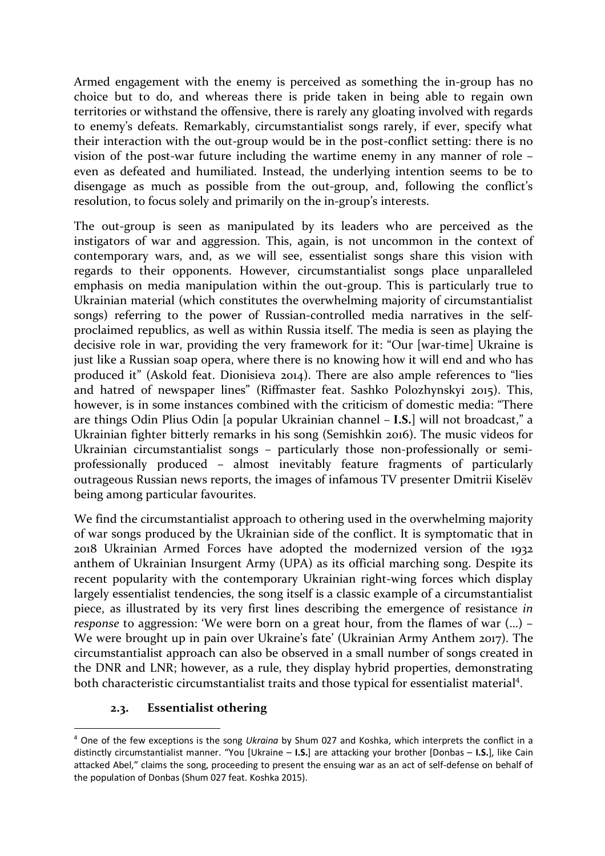Armed engagement with the enemy is perceived as something the in-group has no choice but to do, and whereas there is pride taken in being able to regain own territories or withstand the offensive, there is rarely any gloating involved with regards to enemy's defeats. Remarkably, circumstantialist songs rarely, if ever, specify what their interaction with the out-group would be in the post-conflict setting: there is no vision of the post-war future including the wartime enemy in any manner of role – even as defeated and humiliated. Instead, the underlying intention seems to be to disengage as much as possible from the out-group, and, following the conflict's resolution, to focus solely and primarily on the in-group's interests.

The out-group is seen as manipulated by its leaders who are perceived as the instigators of war and aggression. This, again, is not uncommon in the context of contemporary wars, and, as we will see, essentialist songs share this vision with regards to their opponents. However, circumstantialist songs place unparalleled emphasis on media manipulation within the out-group. This is particularly true to Ukrainian material (which constitutes the overwhelming majority of circumstantialist songs) referring to the power of Russian-controlled media narratives in the selfproclaimed republics, as well as within Russia itself. The media is seen as playing the decisive role in war, providing the very framework for it: "Our [war-time] Ukraine is just like a Russian soap opera, where there is no knowing how it will end and who has produced it" (Askold feat. Dionisieva 2014). There are also ample references to "lies and hatred of newspaper lines" (Riffmaster feat. Sashko Polozhynskyi 2015). This, however, is in some instances combined with the criticism of domestic media: "There are things Odin Plius Odin [a popular Ukrainian channel – **I.S.**] will not broadcast," a Ukrainian fighter bitterly remarks in his song (Semishkin 2016). The music videos for Ukrainian circumstantialist songs – particularly those non-professionally or semiprofessionally produced – almost inevitably feature fragments of particularly outrageous Russian news reports, the images of infamous TV presenter Dmitrii Kiselёv being among particular favourites.

We find the circumstantialist approach to othering used in the overwhelming majority of war songs produced by the Ukrainian side of the conflict. It is symptomatic that in 2018 Ukrainian Armed Forces have adopted the modernized version of the 1932 anthem of Ukrainian Insurgent Army (UPA) as its official marching song. Despite its recent popularity with the contemporary Ukrainian right-wing forces which display largely essentialist tendencies, the song itself is a classic example of a circumstantialist piece, as illustrated by its very first lines describing the emergence of resistance *in response* to aggression: 'We were born on a great hour, from the flames of war (…) – We were brought up in pain over Ukraine's fate' (Ukrainian Army Anthem 2017). The circumstantialist approach can also be observed in a small number of songs created in the DNR and LNR; however, as a rule, they display hybrid properties, demonstrating both characteristic circumstantialist traits and those typical for essentialist material<sup>4</sup>.

#### **2.3. Essentialist othering**

 <sup>4</sup> One of the few exceptions is the song *Ukraina* by Shum 027 and Koshka, which interprets the conflict in a distinctly circumstantialist manner. "You [Ukraine – **I.S.**] are attacking your brother [Donbas – **I.S.**], like Cain attacked Abel," claims the song, proceeding to present the ensuing war as an act of self-defense on behalf of the population of Donbas (Shum 027 feat. Koshka 2015).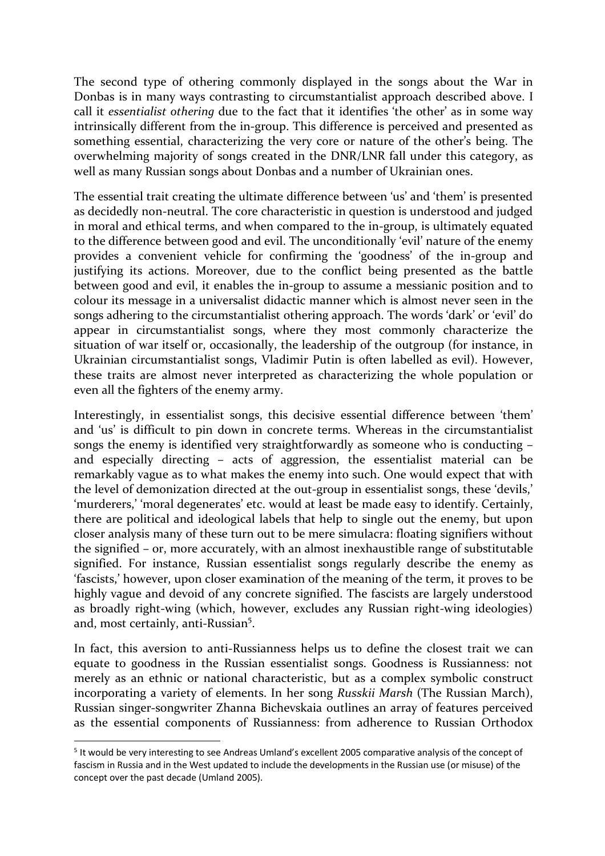The second type of othering commonly displayed in the songs about the War in Donbas is in many ways contrasting to circumstantialist approach described above. I call it *essentialist othering* due to the fact that it identifies 'the other' as in some way intrinsically different from the in-group. This difference is perceived and presented as something essential, characterizing the very core or nature of the other's being. The overwhelming majority of songs created in the DNR/LNR fall under this category, as well as many Russian songs about Donbas and a number of Ukrainian ones.

The essential trait creating the ultimate difference between 'us' and 'them' is presented as decidedly non-neutral. The core characteristic in question is understood and judged in moral and ethical terms, and when compared to the in-group, is ultimately equated to the difference between good and evil. The unconditionally 'evil' nature of the enemy provides a convenient vehicle for confirming the 'goodness' of the in-group and justifying its actions. Moreover, due to the conflict being presented as the battle between good and evil, it enables the in-group to assume a messianic position and to colour its message in a universalist didactic manner which is almost never seen in the songs adhering to the circumstantialist othering approach. The words 'dark' or 'evil' do appear in circumstantialist songs, where they most commonly characterize the situation of war itself or, occasionally, the leadership of the outgroup (for instance, in Ukrainian circumstantialist songs, Vladimir Putin is often labelled as evil). However, these traits are almost never interpreted as characterizing the whole population or even all the fighters of the enemy army.

Interestingly, in essentialist songs, this decisive essential difference between 'them' and 'us' is difficult to pin down in concrete terms. Whereas in the circumstantialist songs the enemy is identified very straightforwardly as someone who is conducting – and especially directing – acts of aggression, the essentialist material can be remarkably vague as to what makes the enemy into such. One would expect that with the level of demonization directed at the out-group in essentialist songs, these 'devils,' 'murderers,' 'moral degenerates' etc. would at least be made easy to identify. Certainly, there are political and ideological labels that help to single out the enemy, but upon closer analysis many of these turn out to be mere simulacra: floating signifiers without the signified – or, more accurately, with an almost inexhaustible range of substitutable signified. For instance, Russian essentialist songs regularly describe the enemy as 'fascists,' however, upon closer examination of the meaning of the term, it proves to be highly vague and devoid of any concrete signified. The fascists are largely understood as broadly right-wing (which, however, excludes any Russian right-wing ideologies) and, most certainly, anti-Russian<sup>5</sup>.

In fact, this aversion to anti-Russianness helps us to define the closest trait we can equate to goodness in the Russian essentialist songs. Goodness is Russianness: not merely as an ethnic or national characteristic, but as a complex symbolic construct incorporating a variety of elements. In her song *Russkii Marsh* (The Russian March), Russian singer-songwriter Zhanna Bichevskaia outlines an array of features perceived as the essential components of Russianness: from adherence to Russian Orthodox

 <sup>5</sup> It would be very interesting to see Andreas Umland's excellent 2005 comparative analysis of the concept of fascism in Russia and in the West updated to include the developments in the Russian use (or misuse) of the concept over the past decade (Umland 2005).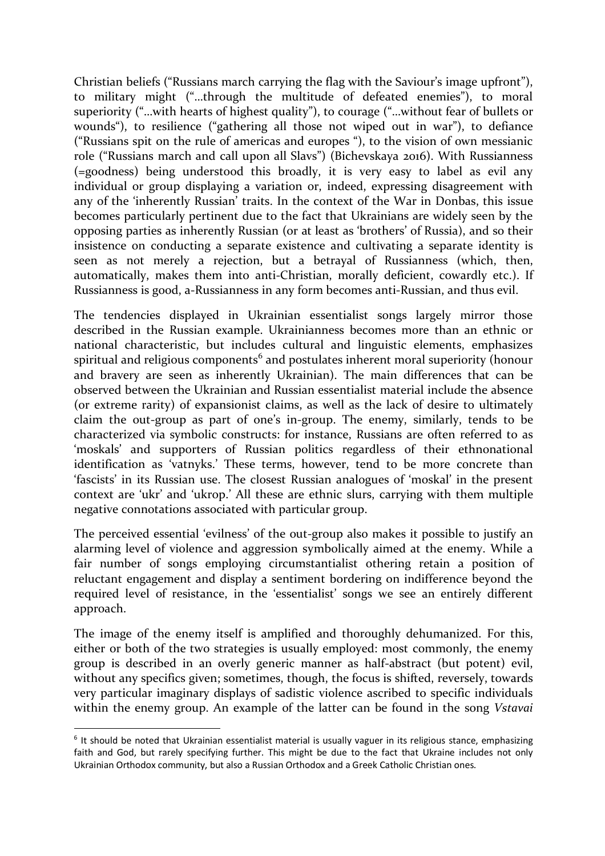Christian beliefs ("Russians march carrying the flag with the Saviour's image upfront"), to military might ("…through the multitude of defeated enemies"), to moral superiority ("…with hearts of highest quality"), to courage ("…without fear of bullets or wounds"), to resilience ("gathering all those not wiped out in war"), to defiance ("Russians spit on the rule of americas and europes "), to the vision of own messianic role ("Russians march and call upon all Slavs") (Bichevskaya 2016). With Russianness (=goodness) being understood this broadly, it is very easy to label as evil any individual or group displaying a variation or, indeed, expressing disagreement with any of the 'inherently Russian' traits. In the context of the War in Donbas, this issue becomes particularly pertinent due to the fact that Ukrainians are widely seen by the opposing parties as inherently Russian (or at least as 'brothers' of Russia), and so their insistence on conducting a separate existence and cultivating a separate identity is seen as not merely a rejection, but a betrayal of Russianness (which, then, automatically, makes them into anti-Christian, morally deficient, cowardly etc.). If Russianness is good, a-Russianness in any form becomes anti-Russian, and thus evil.

The tendencies displayed in Ukrainian essentialist songs largely mirror those described in the Russian example. Ukrainianness becomes more than an ethnic or national characteristic, but includes cultural and linguistic elements, emphasizes spiritual and religious components<sup>6</sup> and postulates inherent moral superiority (honour and bravery are seen as inherently Ukrainian). The main differences that can be observed between the Ukrainian and Russian essentialist material include the absence (or extreme rarity) of expansionist claims, as well as the lack of desire to ultimately claim the out-group as part of one's in-group. The enemy, similarly, tends to be characterized via symbolic constructs: for instance, Russians are often referred to as 'moskals' and supporters of Russian politics regardless of their ethnonational identification as 'vatnyks.' These terms, however, tend to be more concrete than 'fascists' in its Russian use. The closest Russian analogues of 'moskal' in the present context are 'ukr' and 'ukrop.' All these are ethnic slurs, carrying with them multiple negative connotations associated with particular group.

The perceived essential 'evilness' of the out-group also makes it possible to justify an alarming level of violence and aggression symbolically aimed at the enemy. While a fair number of songs employing circumstantialist othering retain a position of reluctant engagement and display a sentiment bordering on indifference beyond the required level of resistance, in the 'essentialist' songs we see an entirely different approach.

The image of the enemy itself is amplified and thoroughly dehumanized. For this, either or both of the two strategies is usually employed: most commonly, the enemy group is described in an overly generic manner as half-abstract (but potent) evil, without any specifics given; sometimes, though, the focus is shifted, reversely, towards very particular imaginary displays of sadistic violence ascribed to specific individuals within the enemy group. An example of the latter can be found in the song *Vstavai* 

 $6$  It should be noted that Ukrainian essentialist material is usually vaguer in its religious stance, emphasizing faith and God, but rarely specifying further. This might be due to the fact that Ukraine includes not only Ukrainian Orthodox community, but also a Russian Orthodox and a Greek Catholic Christian ones.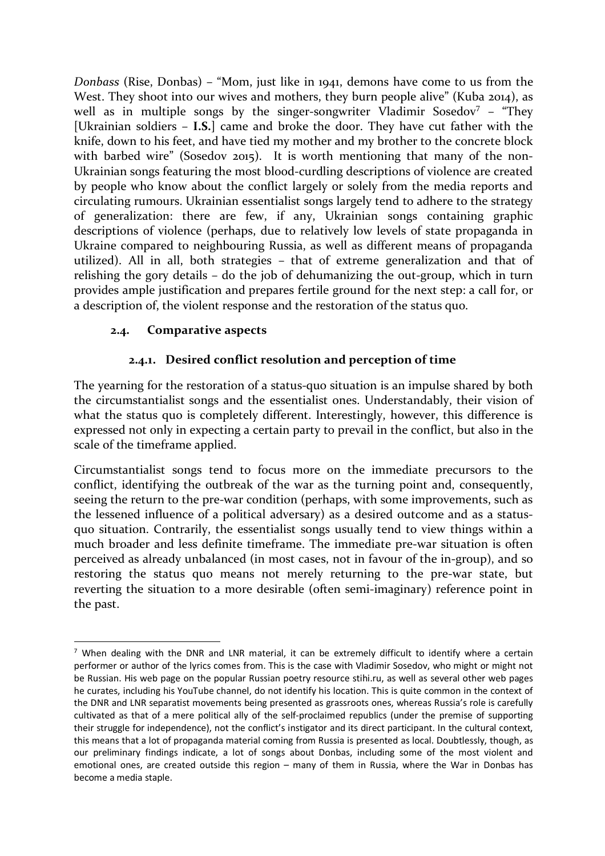*Donbass* (Rise, Donbas) – "Mom, just like in 1941, demons have come to us from the West. They shoot into our wives and mothers, they burn people alive" (Kuba 2014), as well as in multiple songs by the singer-songwriter Vladimir Sosedov<sup>7</sup> – "They [Ukrainian soldiers – **I.S.**] came and broke the door. They have cut father with the knife, down to his feet, and have tied my mother and my brother to the concrete block with barbed wire" (Sosedov 2015). It is worth mentioning that many of the non-Ukrainian songs featuring the most blood-curdling descriptions of violence are created by people who know about the conflict largely or solely from the media reports and circulating rumours. Ukrainian essentialist songs largely tend to adhere to the strategy of generalization: there are few, if any, Ukrainian songs containing graphic descriptions of violence (perhaps, due to relatively low levels of state propaganda in Ukraine compared to neighbouring Russia, as well as different means of propaganda utilized). All in all, both strategies – that of extreme generalization and that of relishing the gory details – do the job of dehumanizing the out-group, which in turn provides ample justification and prepares fertile ground for the next step: a call for, or a description of, the violent response and the restoration of the status quo.

### **2.4. Comparative aspects**

### **2.4.1. Desired conflict resolution and perception of time**

The yearning for the restoration of a status-quo situation is an impulse shared by both the circumstantialist songs and the essentialist ones. Understandably, their vision of what the status quo is completely different. Interestingly, however, this difference is expressed not only in expecting a certain party to prevail in the conflict, but also in the scale of the timeframe applied.

Circumstantialist songs tend to focus more on the immediate precursors to the conflict, identifying the outbreak of the war as the turning point and, consequently, seeing the return to the pre-war condition (perhaps, with some improvements, such as the lessened influence of a political adversary) as a desired outcome and as a statusquo situation. Contrarily, the essentialist songs usually tend to view things within a much broader and less definite timeframe. The immediate pre-war situation is often perceived as already unbalanced (in most cases, not in favour of the in-group), and so restoring the status quo means not merely returning to the pre-war state, but reverting the situation to a more desirable (often semi-imaginary) reference point in the past.

<sup>&</sup>lt;sup>7</sup> When dealing with the DNR and LNR material, it can be extremely difficult to identify where a certain performer or author of the lyrics comes from. This is the case with Vladimir Sosedov, who might or might not be Russian. His web page on the popular Russian poetry resource stihi.ru, as well as several other web pages he curates, including his YouTube channel, do not identify his location. This is quite common in the context of the DNR and LNR separatist movements being presented as grassroots ones, whereas Russia's role is carefully cultivated as that of a mere political ally of the self-proclaimed republics (under the premise of supporting their struggle for independence), not the conflict's instigator and its direct participant. In the cultural context, this means that a lot of propaganda material coming from Russia is presented as local. Doubtlessly, though, as our preliminary findings indicate, a lot of songs about Donbas, including some of the most violent and emotional ones, are created outside this region – many of them in Russia, where the War in Donbas has become a media staple.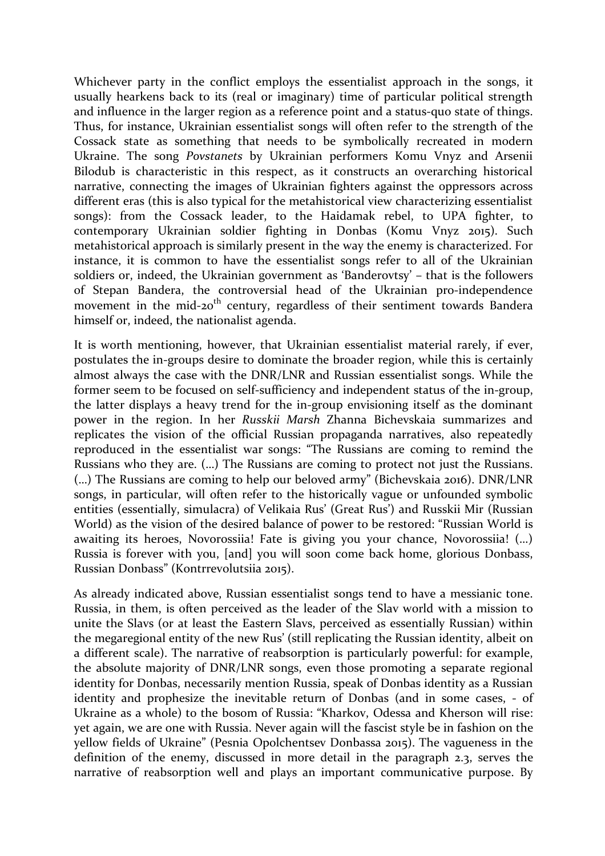Whichever party in the conflict employs the essentialist approach in the songs, it usually hearkens back to its (real or imaginary) time of particular political strength and influence in the larger region as a reference point and a status-quo state of things. Thus, for instance, Ukrainian essentialist songs will often refer to the strength of the Cossack state as something that needs to be symbolically recreated in modern Ukraine. The song *Povstanets* by Ukrainian performers Komu Vnyz and Arsenii Bilodub is characteristic in this respect, as it constructs an overarching historical narrative, connecting the images of Ukrainian fighters against the oppressors across different eras (this is also typical for the metahistorical view characterizing essentialist songs): from the Cossack leader, to the Haidamak rebel, to UPA fighter, to contemporary Ukrainian soldier fighting in Donbas (Komu Vnyz 2015). Such metahistorical approach is similarly present in the way the enemy is characterized. For instance, it is common to have the essentialist songs refer to all of the Ukrainian soldiers or, indeed, the Ukrainian government as 'Banderovtsy' – that is the followers of Stepan Bandera, the controversial head of the Ukrainian pro-independence movement in the mid-20<sup>th</sup> century, regardless of their sentiment towards Bandera himself or, indeed, the nationalist agenda.

It is worth mentioning, however, that Ukrainian essentialist material rarely, if ever, postulates the in-groups desire to dominate the broader region, while this is certainly almost always the case with the DNR/LNR and Russian essentialist songs. While the former seem to be focused on self-sufficiency and independent status of the in-group, the latter displays a heavy trend for the in-group envisioning itself as the dominant power in the region. In her *Russkii Marsh* Zhanna Bichevskaia summarizes and replicates the vision of the official Russian propaganda narratives, also repeatedly reproduced in the essentialist war songs: "The Russians are coming to remind the Russians who they are. (…) The Russians are coming to protect not just the Russians. (…) The Russians are coming to help our beloved army" (Bichevskaia 2016). DNR/LNR songs, in particular, will often refer to the historically vague or unfounded symbolic entities (essentially, simulacra) of Velikaia Rus' (Great Rus') and Russkii Mir (Russian World) as the vision of the desired balance of power to be restored: "Russian World is awaiting its heroes, Novorossiia! Fate is giving you your chance, Novorossiia! (…) Russia is forever with you, [and] you will soon come back home, glorious Donbass, Russian Donbass" (Kontrrevolutsiia 2015).

As already indicated above, Russian essentialist songs tend to have a messianic tone. Russia, in them, is often perceived as the leader of the Slav world with a mission to unite the Slavs (or at least the Eastern Slavs, perceived as essentially Russian) within the megaregional entity of the new Rus' (still replicating the Russian identity, albeit on a different scale). The narrative of reabsorption is particularly powerful: for example, the absolute majority of DNR/LNR songs, even those promoting a separate regional identity for Donbas, necessarily mention Russia, speak of Donbas identity as a Russian identity and prophesize the inevitable return of Donbas (and in some cases, - of Ukraine as a whole) to the bosom of Russia: "Kharkov, Odessa and Kherson will rise: yet again, we are one with Russia. Never again will the fascist style be in fashion on the yellow fields of Ukraine" (Pesnia Opolchentsev Donbassa 2015). The vagueness in the definition of the enemy, discussed in more detail in the paragraph 2.3, serves the narrative of reabsorption well and plays an important communicative purpose. By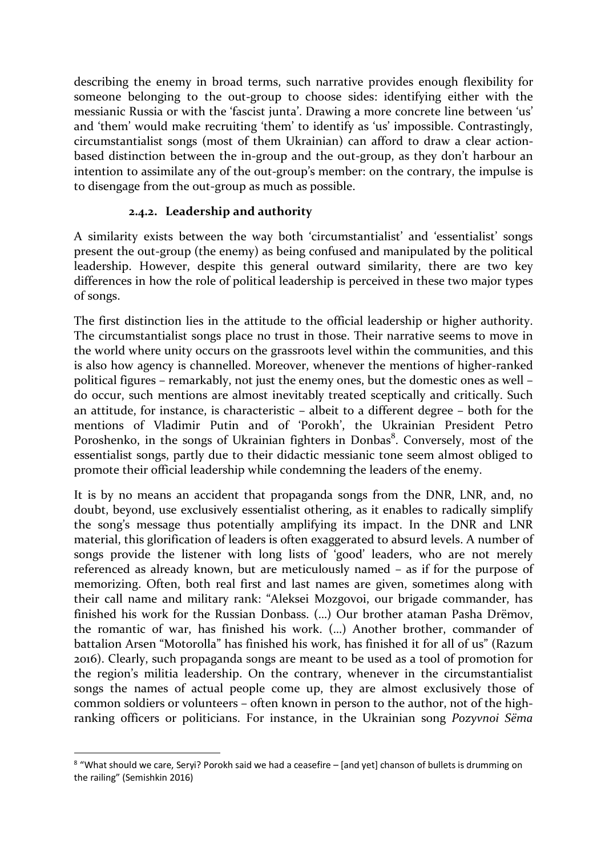describing the enemy in broad terms, such narrative provides enough flexibility for someone belonging to the out-group to choose sides: identifying either with the messianic Russia or with the 'fascist junta'. Drawing a more concrete line between 'us' and 'them' would make recruiting 'them' to identify as 'us' impossible. Contrastingly, circumstantialist songs (most of them Ukrainian) can afford to draw a clear actionbased distinction between the in-group and the out-group, as they don't harbour an intention to assimilate any of the out-group's member: on the contrary, the impulse is to disengage from the out-group as much as possible.

# **2.4.2. Leadership and authority**

A similarity exists between the way both 'circumstantialist' and 'essentialist' songs present the out-group (the enemy) as being confused and manipulated by the political leadership. However, despite this general outward similarity, there are two key differences in how the role of political leadership is perceived in these two major types of songs.

The first distinction lies in the attitude to the official leadership or higher authority. The circumstantialist songs place no trust in those. Their narrative seems to move in the world where unity occurs on the grassroots level within the communities, and this is also how agency is channelled. Moreover, whenever the mentions of higher-ranked political figures – remarkably, not just the enemy ones, but the domestic ones as well – do occur, such mentions are almost inevitably treated sceptically and critically. Such an attitude, for instance, is characteristic – albeit to a different degree – both for the mentions of Vladimir Putin and of 'Porokh', the Ukrainian President Petro Poroshenko, in the songs of Ukrainian fighters in Donbas<sup>8</sup>. Conversely, most of the essentialist songs, partly due to their didactic messianic tone seem almost obliged to promote their official leadership while condemning the leaders of the enemy.

It is by no means an accident that propaganda songs from the DNR, LNR, and, no doubt, beyond, use exclusively essentialist othering, as it enables to radically simplify the song's message thus potentially amplifying its impact. In the DNR and LNR material, this glorification of leaders is often exaggerated to absurd levels. A number of songs provide the listener with long lists of 'good' leaders, who are not merely referenced as already known, but are meticulously named – as if for the purpose of memorizing. Often, both real first and last names are given, sometimes along with their call name and military rank: "Aleksei Mozgovoi, our brigade commander, has finished his work for the Russian Donbass. (…) Our brother ataman Pasha Drёmov, the romantic of war, has finished his work. (…) Another brother, commander of battalion Arsen "Motorolla" has finished his work, has finished it for all of us" (Razum 2016). Clearly, such propaganda songs are meant to be used as a tool of promotion for the region's militia leadership. On the contrary, whenever in the circumstantialist songs the names of actual people come up, they are almost exclusively those of common soldiers or volunteers – often known in person to the author, not of the highranking officers or politicians. For instance, in the Ukrainian song *Pozyvnoi Sёma*

<sup>&</sup>lt;sup>8</sup> "What should we care, Seryi? Porokh said we had a ceasefire – [and yet] chanson of bullets is drumming on the railing" (Semishkin 2016)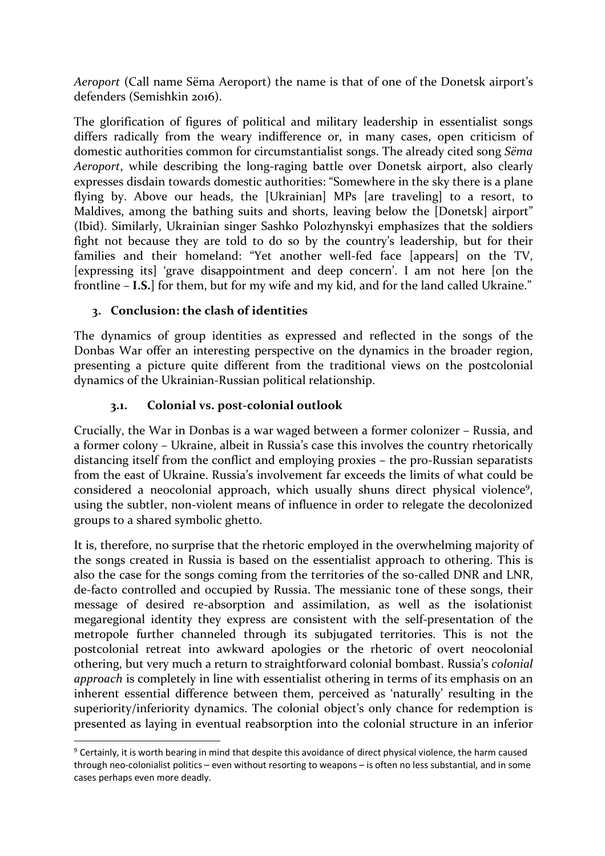*Aeroport* (Call name Sёma Aeroport) the name is that of one of the Donetsk airport's defenders (Semishkin 2016).

The glorification of figures of political and military leadership in essentialist songs differs radically from the weary indifference or, in many cases, open criticism of domestic authorities common for circumstantialist songs. The already cited song *Sёma Aeroport*, while describing the long-raging battle over Donetsk airport, also clearly expresses disdain towards domestic authorities: "Somewhere in the sky there is a plane flying by. Above our heads, the [Ukrainian] MPs [are traveling] to a resort, to Maldives, among the bathing suits and shorts, leaving below the [Donetsk] airport" (Ibid). Similarly, Ukrainian singer Sashko Polozhynskyi emphasizes that the soldiers fight not because they are told to do so by the country's leadership, but for their families and their homeland: "Yet another well-fed face [appears] on the TV, [expressing its] 'grave disappointment and deep concern'. I am not here [on the frontline – **I.S.**] for them, but for my wife and my kid, and for the land called Ukraine."

# **3. Conclusion: the clash of identities**

The dynamics of group identities as expressed and reflected in the songs of the Donbas War offer an interesting perspective on the dynamics in the broader region, presenting a picture quite different from the traditional views on the postcolonial dynamics of the Ukrainian-Russian political relationship.

### **3.1. Colonial vs. post-colonial outlook**

Crucially, the War in Donbas is a war waged between a former colonizer – Russia, and a former colony – Ukraine, albeit in Russia's case this involves the country rhetorically distancing itself from the conflict and employing proxies – the pro-Russian separatists from the east of Ukraine. Russia's involvement far exceeds the limits of what could be considered a neocolonial approach, which usually shuns direct physical violence<sup>9</sup>, using the subtler, non-violent means of influence in order to relegate the decolonized groups to a shared symbolic ghetto.

It is, therefore, no surprise that the rhetoric employed in the overwhelming majority of the songs created in Russia is based on the essentialist approach to othering. This is also the case for the songs coming from the territories of the so-called DNR and LNR, de-facto controlled and occupied by Russia. The messianic tone of these songs, their message of desired re-absorption and assimilation, as well as the isolationist megaregional identity they express are consistent with the self-presentation of the metropole further channeled through its subjugated territories. This is not the postcolonial retreat into awkward apologies or the rhetoric of overt neocolonial othering, but very much a return to straightforward colonial bombast. Russia's *colonial approach* is completely in line with essentialist othering in terms of its emphasis on an inherent essential difference between them, perceived as 'naturally' resulting in the superiority/inferiority dynamics. The colonial object's only chance for redemption is presented as laying in eventual reabsorption into the colonial structure in an inferior

 <sup>9</sup> Certainly, it is worth bearing in mind that despite this avoidance of direct physical violence, the harm caused through neo-colonialist politics – even without resorting to weapons – is often no less substantial, and in some cases perhaps even more deadly.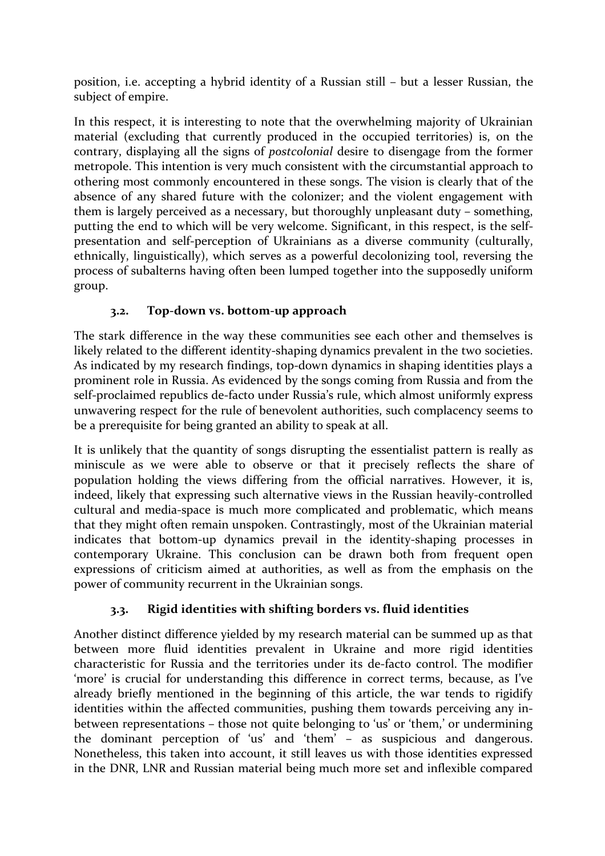position, i.e. accepting a hybrid identity of a Russian still – but a lesser Russian, the subject of empire.

In this respect, it is interesting to note that the overwhelming majority of Ukrainian material (excluding that currently produced in the occupied territories) is, on the contrary, displaying all the signs of *postcolonial* desire to disengage from the former metropole. This intention is very much consistent with the circumstantial approach to othering most commonly encountered in these songs. The vision is clearly that of the absence of any shared future with the colonizer; and the violent engagement with them is largely perceived as a necessary, but thoroughly unpleasant duty – something, putting the end to which will be very welcome. Significant, in this respect, is the selfpresentation and self-perception of Ukrainians as a diverse community (culturally, ethnically, linguistically), which serves as a powerful decolonizing tool, reversing the process of subalterns having often been lumped together into the supposedly uniform group.

# **3.2. Top-down vs. bottom-up approach**

The stark difference in the way these communities see each other and themselves is likely related to the different identity-shaping dynamics prevalent in the two societies. As indicated by my research findings, top-down dynamics in shaping identities plays a prominent role in Russia. As evidenced by the songs coming from Russia and from the self-proclaimed republics de-facto under Russia's rule, which almost uniformly express unwavering respect for the rule of benevolent authorities, such complacency seems to be a prerequisite for being granted an ability to speak at all.

It is unlikely that the quantity of songs disrupting the essentialist pattern is really as miniscule as we were able to observe or that it precisely reflects the share of population holding the views differing from the official narratives. However, it is, indeed, likely that expressing such alternative views in the Russian heavily-controlled cultural and media-space is much more complicated and problematic, which means that they might often remain unspoken. Contrastingly, most of the Ukrainian material indicates that bottom-up dynamics prevail in the identity-shaping processes in contemporary Ukraine. This conclusion can be drawn both from frequent open expressions of criticism aimed at authorities, as well as from the emphasis on the power of community recurrent in the Ukrainian songs.

# **3.3. Rigid identities with shifting borders vs. fluid identities**

Another distinct difference yielded by my research material can be summed up as that between more fluid identities prevalent in Ukraine and more rigid identities characteristic for Russia and the territories under its de-facto control. The modifier 'more' is crucial for understanding this difference in correct terms, because, as I've already briefly mentioned in the beginning of this article, the war tends to rigidify identities within the affected communities, pushing them towards perceiving any inbetween representations – those not quite belonging to 'us' or 'them,' or undermining the dominant perception of 'us' and 'them' – as suspicious and dangerous. Nonetheless, this taken into account, it still leaves us with those identities expressed in the DNR, LNR and Russian material being much more set and inflexible compared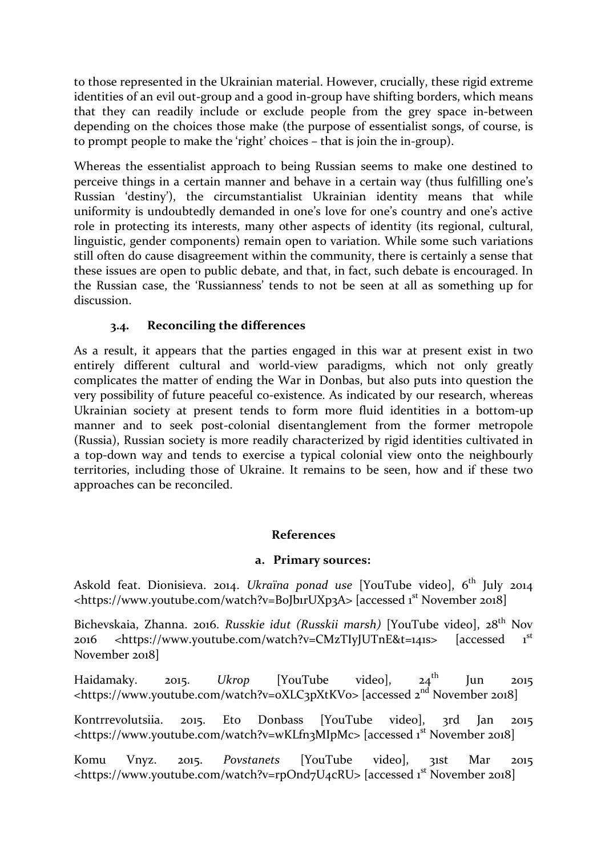to those represented in the Ukrainian material. However, crucially, these rigid extreme identities of an evil out-group and a good in-group have shifting borders, which means that they can readily include or exclude people from the grey space in-between depending on the choices those make (the purpose of essentialist songs, of course, is to prompt people to make the 'right' choices – that is join the in-group).

Whereas the essentialist approach to being Russian seems to make one destined to perceive things in a certain manner and behave in a certain way (thus fulfilling one's Russian 'destiny'), the circumstantialist Ukrainian identity means that while uniformity is undoubtedly demanded in one's love for one's country and one's active role in protecting its interests, many other aspects of identity (its regional, cultural, linguistic, gender components) remain open to variation. While some such variations still often do cause disagreement within the community, there is certainly a sense that these issues are open to public debate, and that, in fact, such debate is encouraged. In the Russian case, the 'Russianness' tends to not be seen at all as something up for discussion.

# **3.4. Reconciling the differences**

As a result, it appears that the parties engaged in this war at present exist in two entirely different cultural and world-view paradigms, which not only greatly complicates the matter of ending the War in Donbas, but also puts into question the very possibility of future peaceful co-existence. As indicated by our research, whereas Ukrainian society at present tends to form more fluid identities in a bottom-up manner and to seek post-colonial disentanglement from the former metropole (Russia), Russian society is more readily characterized by rigid identities cultivated in a top-down way and tends to exercise a typical colonial view onto the neighbourly territories, including those of Ukraine. It remains to be seen, how and if these two approaches can be reconciled.

#### **References**

#### **a. Primary sources:**

Askold feat. Dionisieva. 2014. *Ukraïna ponad use* [YouTube video], 6<sup>th</sup> July 2014 <https://www.youtube.com/watch?v=BoJb1rUXp3A> [accessed 1<sup>st</sup> November 2018]

Bichevskaia, Zhanna. 2016. *Russkie idut (Russkii marsh)* [YouTube video], 28th Nov 2016 <https://www.youtube.com/watch?v=CMzTIyJUTnE&t=141s> [accessed 1 st November 2018]

Haidamaky. 2015. *Ukrop* [YouTube video], 24th Jun 2015 <https://www.youtube.com/watch?v=0XLC3pXtKV0> [accessed 2<sup>nd</sup> November 2018]

Kontrrevolutsiia. 2015. Eto Donbass [YouTube video], 3rd Jan 2015 <https://www.youtube.com/watch?v=wKLfn3MIpMc> [accessed 1<sup>st</sup> November 2018]

Komu Vnyz. 2015. *Povstanets* [YouTube video], 31st Mar 2015 <https://www.youtube.com/watch?v=rpOnd7U4cRU> [accessed 1<sup>st</sup> November 2018]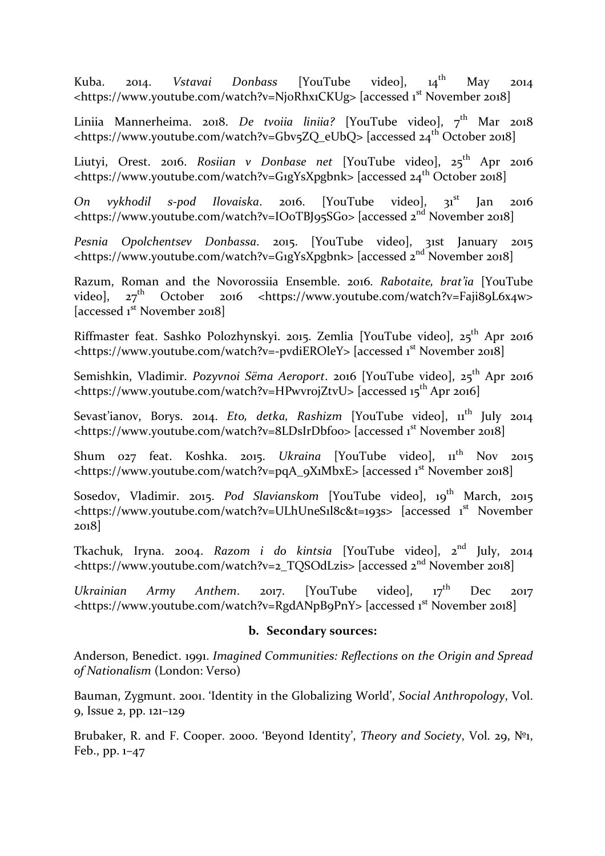Kuba. 2014. *Vstavai Donbass* [YouTube video], 14th May 2014 <https://www.youtube.com/watch?v=NjoRhx1CKUg> [accessed 1<sup>st</sup> November 2018]

Liniia Mannerheima. 2018. *De tvoiia liniia?* [YouTube video], 7<sup>th</sup> Mar 2018 <https://www.youtube.com/watch?v=Gbv5ZQ\_eUbQ> [accessed 24<sup>th</sup> October 2018]

Liutyi, Orest. 2016. *Rosiian v Donbase net* [YouTube video], 25<sup>th</sup> Apr 2016 <https://www.youtube.com/watch?v=G1gYsXpgbnk> [accessed 24th October 2018]

On vykhodil s-pod Ilovaiska. 2016. [YouTube video], 31<sup>st</sup> Jan 2016 <https://www.youtube.com/watch?v=IO0TBJ95SG0> [accessed 2nd November 2018]

*Pesnia Opolchentsev Donbassa*. 2015. [YouTube video], 31st January 2015  $\lt$ https://www.youtube.com/watch?v=G1gYsXpgbnk> [accessed  $2^{nd}$  November 2018]

Razum, Roman and the Novorossiia Ensemble. 2016. *Rabotaite, brat'ia* [YouTube video], 27th October 2016 <https://www.youtube.com/watch?v=Faji89L6x4w> [accessed 1<sup>st</sup> November 2018]

Riffmaster feat. Sashko Polozhynskyi. 2015. Zemlia [YouTube video], 25<sup>th</sup> Apr 2016 <https://www.youtube.com/watch?v=-pvdiEROleY> [accessed 1<sup>st</sup> November 2018]

Semishkin, Vladimir. *Pozyvnoi Sëma Aeroport*. 2016 [YouTube video], 25<sup>th</sup> Apr 2016 <https://www.youtube.com/watch?v=HPwvrojZtvU> [accessed 15<sup>th</sup> Apr 2016]

Sevast'ianov, Borys. 2014. *Eto, detka, Rashizm* [YouTube video],  $11<sup>th</sup>$  July 2014 <https://www.youtube.com/watch?v=8LDsIrDbfoo> [accessed 1<sup>st</sup> November 2018]

Shum 027 feat. Koshka. 2015. *Ukraina* [YouTube video],  $11<sup>th</sup>$  Nov 2015 <https://www.youtube.com/watch?v=pqA\_9X1MbxE> [accessed 1<sup>st</sup> November 2018]

Sosedov, Vladimir. 2015. *Pod Slavianskom* [YouTube video], 19<sup>th</sup> March, 2015. <https://www.youtube.com/watch?v=ULhUneS1l8c&t=193s> [accessed 1<sup>st</sup> November 2018]

Tkachuk, Iryna. 2004. *Razom i do kintsia* [YouTube video], 2nd July, 2014  $\frac{1}{\text{https://www.voutube.com/watch?v=2 TOSOdLzis}$  [accessed  $2^{nd}$  November 2018]

*Ukrainian Army Anthem.* 2017. [YouTube video], 17<sup>th</sup> Dec 2017 <https://www.youtube.com/watch?v=RgdANpB9PnY> [accessed 1<sup>st</sup> November 2018]

#### **b. Secondary sources:**

Anderson, Benedict. 1991. *Imagined Communities: Reflections on the Origin and Spread of Nationalism* (London: Verso)

Bauman, Zygmunt. 2001. 'Identity in the Globalizing World', *Social Anthropology*, Vol. 9, Issue 2, pp. 121–129

Brubaker, R. and F. Cooper. 2000. 'Beyond Identity', *Theory and Society*, Vol. 29, №1, Feb., pp. 1–47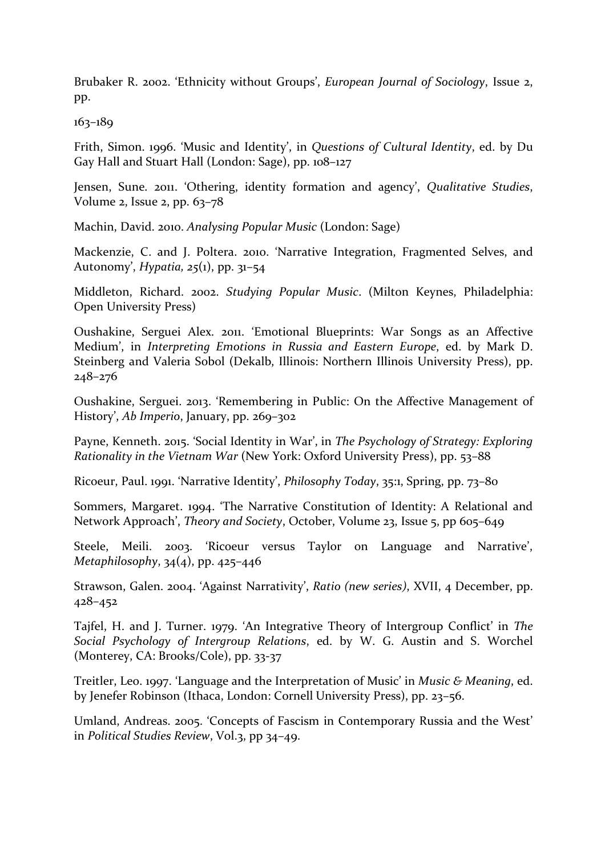Brubaker R. 2002. 'Ethnicity without Groups', *European Journal of Sociology*, Issue 2, pp.

163–189

Frith, Simon. 1996. 'Music and Identity', in *Questions of Cultural Identity*, ed. by Du Gay Hall and Stuart Hall (London: Sage), pp. 108–127

Jensen, Sune. 2011. 'Othering, identity formation and agency', *Qualitative Studies*, Volume 2, Issue 2, pp. 63–78

Machin, David. 2010. *Analysing Popular Music* (London: Sage)

Mackenzie, C. and J. Poltera. 2010. 'Narrative Integration, Fragmented Selves, and Autonomy', *Hypatia, 25*(1), pp. 31–54

Middleton, Richard. 2002. *Studying Popular Music*. (Milton Keynes, Philadelphia: Open University Press)

Oushakine, Serguei Alex. 2011. 'Emotional Blueprints: War Songs as an Affective Medium', in *Interpreting Emotions in Russia and Eastern Europe*, ed. by Mark D. Steinberg and Valeria Sobol (Dekalb, Illinois: Northern Illinois University Press), pp. 248–276

Oushakine, Serguei. 2013. 'Remembering in Public: On the Affective Management of History', *Ab Imperio*, January, pp. 269–302

Payne, Kenneth. 2015. 'Social Identity in War', in *The Psychology of Strategy: Exploring Rationality in the Vietnam War* (New York: Oxford University Press), pp. 53–88

Ricoeur, Paul. 1991. 'Narrative Identity', *Philosophy Today*, 35:1, Spring, pp. 73–80

Sommers, Margaret. 1994. 'The Narrative Constitution of Identity: A Relational and Network Approach', *Theory and Society*, October, Volume 23, Issue 5, pp 605–649

Steele, Meili. 2003. 'Ricoeur versus Taylor on Language and Narrative', *Metaphilosophy*, 34(4), pp. 425–446

Strawson, Galen. 2004. 'Against Narrativity', *Ratio (new series)*, XVII, 4 December, pp. 428–452

Tajfel, H. and J. Turner. 1979. 'An Integrative Theory of Intergroup Conflict' in *The Social Psychology of Intergroup Relations*, ed. by W. G. Austin and S. Worchel (Monterey, CA: Brooks/Cole), pp. 33-37

Treitler, Leo. 1997. 'Language and the Interpretation of Music' in *Music & Meaning*, ed. by Jenefer Robinson (Ithaca, London: Cornell University Press), pp. 23–56.

Umland, Andreas. 2005. 'Concepts of Fascism in Contemporary Russia and the West' in *Political Studies Review*, Vol.3, pp 34–49.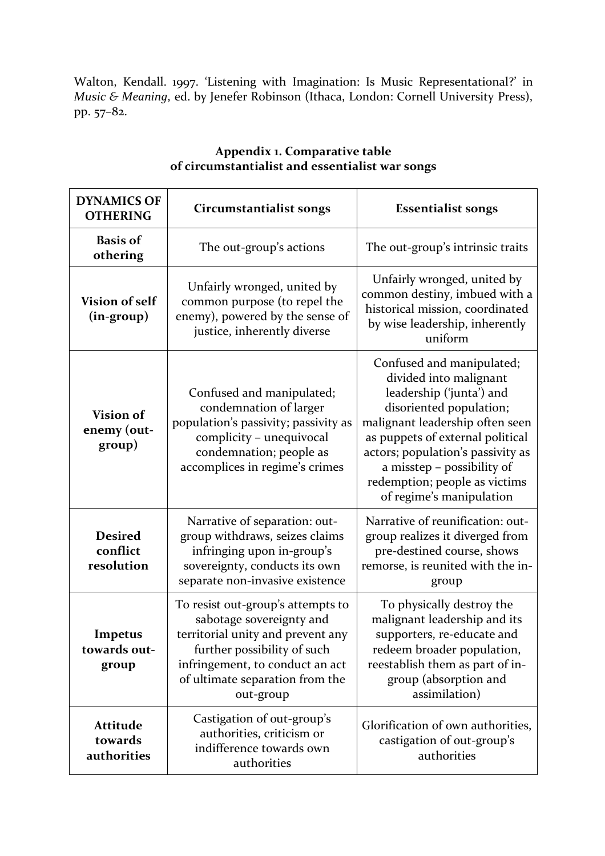Walton, Kendall. 1997. 'Listening with Imagination: Is Music Representational?' in *Music & Meaning*, ed. by Jenefer Robinson (Ithaca, London: Cornell University Press), pp. 57–82.

| <b>DYNAMICS OF</b><br><b>OTHERING</b>     | <b>Circumstantialist songs</b>                                                                                                                                                                                       | <b>Essentialist songs</b>                                                                                                                                                                                                                                                                                         |
|-------------------------------------------|----------------------------------------------------------------------------------------------------------------------------------------------------------------------------------------------------------------------|-------------------------------------------------------------------------------------------------------------------------------------------------------------------------------------------------------------------------------------------------------------------------------------------------------------------|
| <b>Basis of</b><br>othering               | The out-group's actions                                                                                                                                                                                              | The out-group's intrinsic traits                                                                                                                                                                                                                                                                                  |
| <b>Vision of self</b><br>$(in-group)$     | Unfairly wronged, united by<br>common purpose (to repel the<br>enemy), powered by the sense of<br>justice, inherently diverse                                                                                        | Unfairly wronged, united by<br>common destiny, imbued with a<br>historical mission, coordinated<br>by wise leadership, inherently<br>uniform                                                                                                                                                                      |
| Vision of<br>enemy (out-<br>group)        | Confused and manipulated;<br>condemnation of larger<br>population's passivity; passivity as<br>complicity - unequivocal<br>condemnation; people as<br>accomplices in regime's crimes                                 | Confused and manipulated;<br>divided into malignant<br>leadership ('junta') and<br>disoriented population;<br>malignant leadership often seen<br>as puppets of external political<br>actors; population's passivity as<br>a misstep - possibility of<br>redemption; people as victims<br>of regime's manipulation |
| <b>Desired</b><br>conflict<br>resolution  | Narrative of separation: out-<br>group withdraws, seizes claims<br>infringing upon in-group's<br>sovereignty, conducts its own<br>separate non-invasive existence                                                    | Narrative of reunification: out-<br>group realizes it diverged from<br>pre-destined course, shows<br>remorse, is reunited with the in-<br>group                                                                                                                                                                   |
| Impetus<br>towards out-<br>group          | To resist out-group's attempts to<br>sabotage sovereignty and<br>territorial unity and prevent any<br>further possibility of such<br>infringement, to conduct an act<br>of ultimate separation from the<br>out-group | To physically destroy the<br>malignant leadership and its<br>supporters, re-educate and<br>redeem broader population,<br>reestablish them as part of in-<br>group (absorption and<br>assimilation)                                                                                                                |
| <b>Attitude</b><br>towards<br>authorities | Castigation of out-group's<br>authorities, criticism or<br>indifference towards own<br>authorities                                                                                                                   | Glorification of own authorities,<br>castigation of out-group's<br>authorities                                                                                                                                                                                                                                    |

# **Appendix 1. Comparative table of circumstantialist and essentialist war songs**